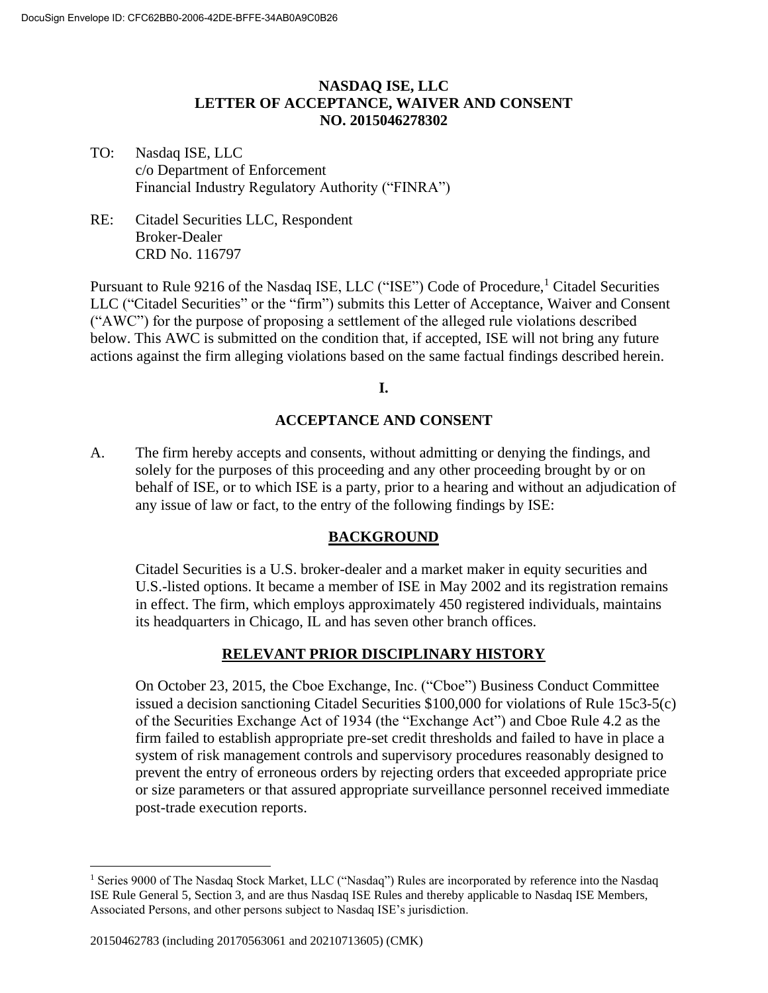### **NASDAQ ISE, LLC LETTER OF ACCEPTANCE, WAIVER AND CONSENT NO. 2015046278302**

### TO: Nasdaq ISE, LLC c/o Department of Enforcement Financial Industry Regulatory Authority ("FINRA")

RE: Citadel Securities LLC, Respondent Broker-Dealer CRD No. 116797

Pursuant to Rule 9216 of the Nasdaq ISE, LLC ("ISE") Code of Procedure,<sup>1</sup> Citadel Securities LLC ("Citadel Securities" or the "firm") submits this Letter of Acceptance, Waiver and Consent ("AWC") for the purpose of proposing a settlement of the alleged rule violations described below. This AWC is submitted on the condition that, if accepted, ISE will not bring any future actions against the firm alleging violations based on the same factual findings described herein.

### **I.**

### **ACCEPTANCE AND CONSENT**

A. The firm hereby accepts and consents, without admitting or denying the findings, and solely for the purposes of this proceeding and any other proceeding brought by or on behalf of ISE, or to which ISE is a party, prior to a hearing and without an adjudication of any issue of law or fact, to the entry of the following findings by ISE:

### **BACKGROUND**

Citadel Securities is a U.S. broker-dealer and a market maker in equity securities and U.S.-listed options. It became a member of ISE in May 2002 and its registration remains in effect. The firm, which employs approximately 450 registered individuals, maintains its headquarters in Chicago, IL and has seven other branch offices.

# **RELEVANT PRIOR DISCIPLINARY HISTORY**

On October 23, 2015, the Cboe Exchange, Inc. ("Cboe") Business Conduct Committee issued a decision sanctioning Citadel Securities \$100,000 for violations of Rule 15c3-5(c) of the Securities Exchange Act of 1934 (the "Exchange Act") and Cboe Rule 4.2 as the firm failed to establish appropriate pre-set credit thresholds and failed to have in place a system of risk management controls and supervisory procedures reasonably designed to prevent the entry of erroneous orders by rejecting orders that exceeded appropriate price or size parameters or that assured appropriate surveillance personnel received immediate post-trade execution reports.

<sup>&</sup>lt;sup>1</sup> Series 9000 of The Nasdaq Stock Market, LLC ("Nasdaq") Rules are incorporated by reference into the Nasdaq ISE Rule General 5, Section 3, and are thus Nasdaq ISE Rules and thereby applicable to Nasdaq ISE Members, Associated Persons, and other persons subject to Nasdaq ISE's jurisdiction.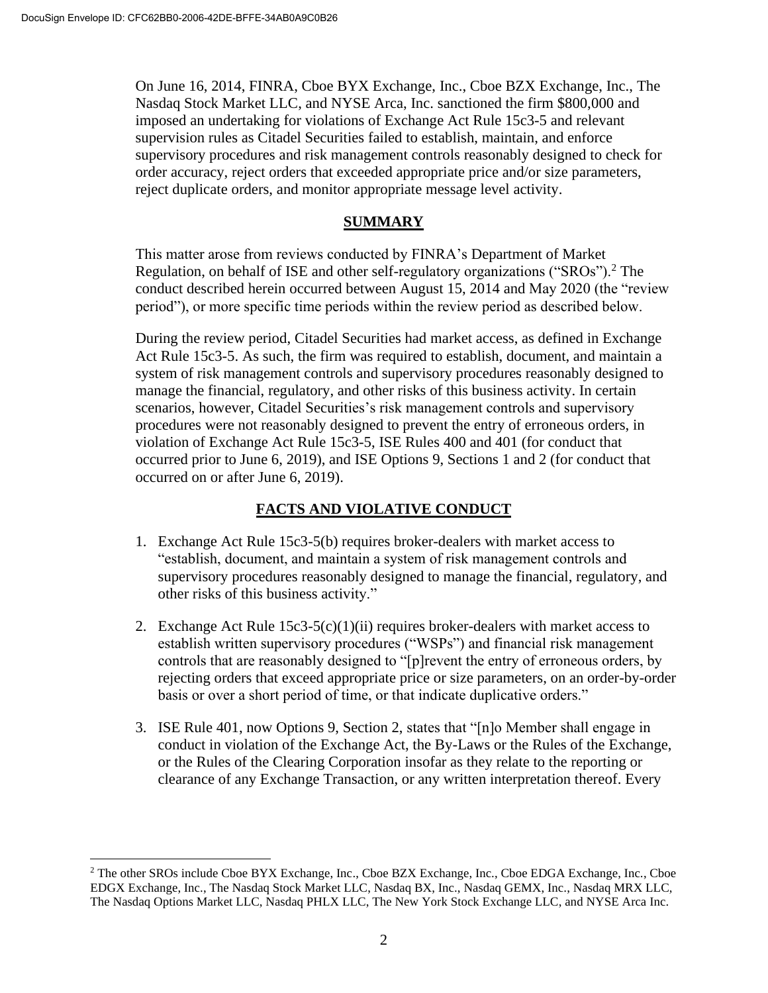On June 16, 2014, FINRA, Cboe BYX Exchange, Inc., Cboe BZX Exchange, Inc., The Nasdaq Stock Market LLC, and NYSE Arca, Inc. sanctioned the firm \$800,000 and imposed an undertaking for violations of Exchange Act Rule 15c3-5 and relevant supervision rules as Citadel Securities failed to establish, maintain, and enforce supervisory procedures and risk management controls reasonably designed to check for order accuracy, reject orders that exceeded appropriate price and/or size parameters, reject duplicate orders, and monitor appropriate message level activity.

# **SUMMARY**

This matter arose from reviews conducted by FINRA's Department of Market Regulation, on behalf of ISE and other self-regulatory organizations ("SROs").<sup>2</sup> The conduct described herein occurred between August 15, 2014 and May 2020 (the "review period"), or more specific time periods within the review period as described below.

During the review period, Citadel Securities had market access, as defined in Exchange Act Rule 15c3-5. As such, the firm was required to establish, document, and maintain a system of risk management controls and supervisory procedures reasonably designed to manage the financial, regulatory, and other risks of this business activity. In certain scenarios, however, Citadel Securities's risk management controls and supervisory procedures were not reasonably designed to prevent the entry of erroneous orders, in violation of Exchange Act Rule 15c3-5, ISE Rules 400 and 401 (for conduct that occurred prior to June 6, 2019), and ISE Options 9, Sections 1 and 2 (for conduct that occurred on or after June 6, 2019).

# **FACTS AND VIOLATIVE CONDUCT**

- 1. Exchange Act Rule 15c3-5(b) requires broker-dealers with market access to "establish, document, and maintain a system of risk management controls and supervisory procedures reasonably designed to manage the financial, regulatory, and other risks of this business activity."
- 2. Exchange Act Rule  $15c3-5(c)(1)(ii)$  requires broker-dealers with market access to establish written supervisory procedures ("WSPs") and financial risk management controls that are reasonably designed to "[p]revent the entry of erroneous orders, by rejecting orders that exceed appropriate price or size parameters, on an order-by-order basis or over a short period of time, or that indicate duplicative orders."
- 3. ISE Rule 401, now Options 9, Section 2, states that "[n]o Member shall engage in conduct in violation of the Exchange Act, the By-Laws or the Rules of the Exchange, or the Rules of the Clearing Corporation insofar as they relate to the reporting or clearance of any Exchange Transaction, or any written interpretation thereof. Every

<sup>&</sup>lt;sup>2</sup> The other SROs include Cboe BYX Exchange, Inc., Cboe BZX Exchange, Inc., Cboe EDGA Exchange, Inc., Cboe EDGX Exchange, Inc., The Nasdaq Stock Market LLC, Nasdaq BX, Inc., Nasdaq GEMX, Inc., Nasdaq MRX LLC, The Nasdaq Options Market LLC, Nasdaq PHLX LLC, The New York Stock Exchange LLC, and NYSE Arca Inc.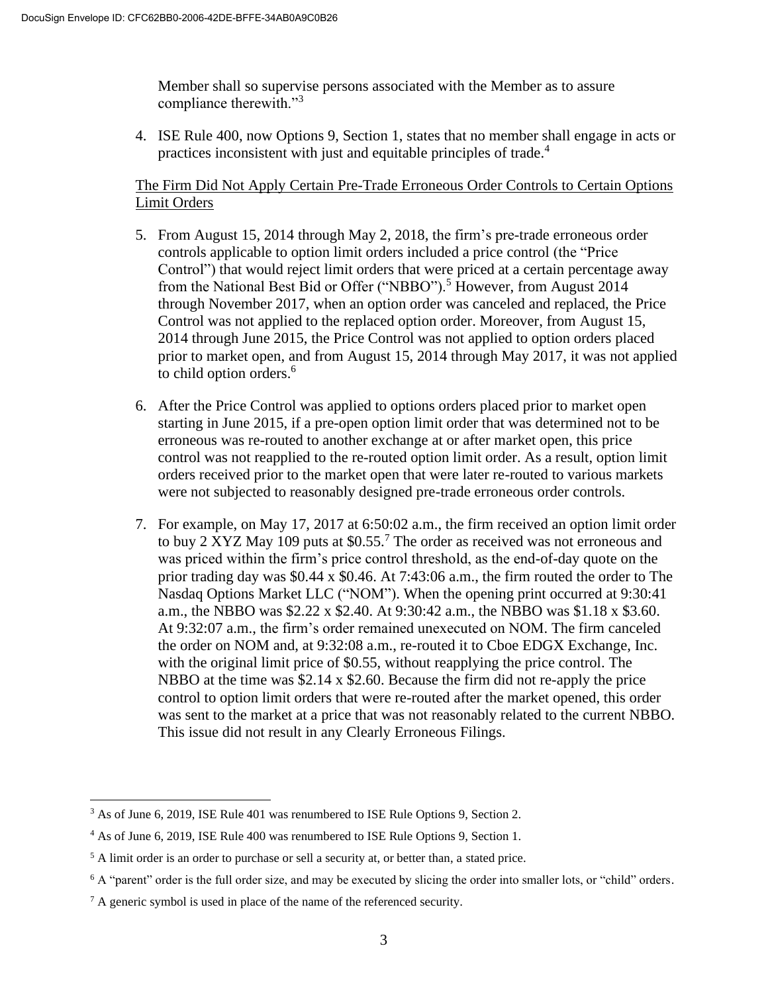Member shall so supervise persons associated with the Member as to assure compliance therewith."<sup>3</sup>

4. ISE Rule 400, now Options 9, Section 1, states that no member shall engage in acts or practices inconsistent with just and equitable principles of trade. 4

# The Firm Did Not Apply Certain Pre-Trade Erroneous Order Controls to Certain Options Limit Orders

- 5. From August 15, 2014 through May 2, 2018, the firm's pre-trade erroneous order controls applicable to option limit orders included a price control (the "Price Control") that would reject limit orders that were priced at a certain percentage away from the National Best Bid or Offer ("NBBO").<sup>5</sup> However, from August 2014 through November 2017, when an option order was canceled and replaced, the Price Control was not applied to the replaced option order. Moreover, from August 15, 2014 through June 2015, the Price Control was not applied to option orders placed prior to market open, and from August 15, 2014 through May 2017, it was not applied to child option orders.<sup>6</sup>
- 6. After the Price Control was applied to options orders placed prior to market open starting in June 2015, if a pre-open option limit order that was determined not to be erroneous was re-routed to another exchange at or after market open, this price control was not reapplied to the re-routed option limit order. As a result, option limit orders received prior to the market open that were later re-routed to various markets were not subjected to reasonably designed pre-trade erroneous order controls.
- 7. For example, on May 17, 2017 at 6:50:02 a.m., the firm received an option limit order to buy 2 XYZ May 109 puts at  $$0.55<sup>7</sup>$  The order as received was not erroneous and was priced within the firm's price control threshold, as the end-of-day quote on the prior trading day was \$0.44 x \$0.46. At 7:43:06 a.m., the firm routed the order to The Nasdaq Options Market LLC ("NOM"). When the opening print occurred at 9:30:41 a.m., the NBBO was \$2.22 x \$2.40. At 9:30:42 a.m., the NBBO was \$1.18 x \$3.60. At 9:32:07 a.m., the firm's order remained unexecuted on NOM. The firm canceled the order on NOM and, at 9:32:08 a.m., re-routed it to Cboe EDGX Exchange, Inc. with the original limit price of \$0.55, without reapplying the price control. The NBBO at the time was \$2.14 x \$2.60. Because the firm did not re-apply the price control to option limit orders that were re-routed after the market opened, this order was sent to the market at a price that was not reasonably related to the current NBBO. This issue did not result in any Clearly Erroneous Filings.

<sup>&</sup>lt;sup>3</sup> As of June 6, 2019, ISE Rule 401 was renumbered to ISE Rule Options 9, Section 2.

<sup>4</sup> As of June 6, 2019, ISE Rule 400 was renumbered to ISE Rule Options 9, Section 1.

<sup>&</sup>lt;sup>5</sup> A limit order is an order to purchase or sell a security at, or better than, a stated price.

 $6$  A "parent" order is the full order size, and may be executed by slicing the order into smaller lots, or "child" orders.

<sup>7</sup> A generic symbol is used in place of the name of the referenced security.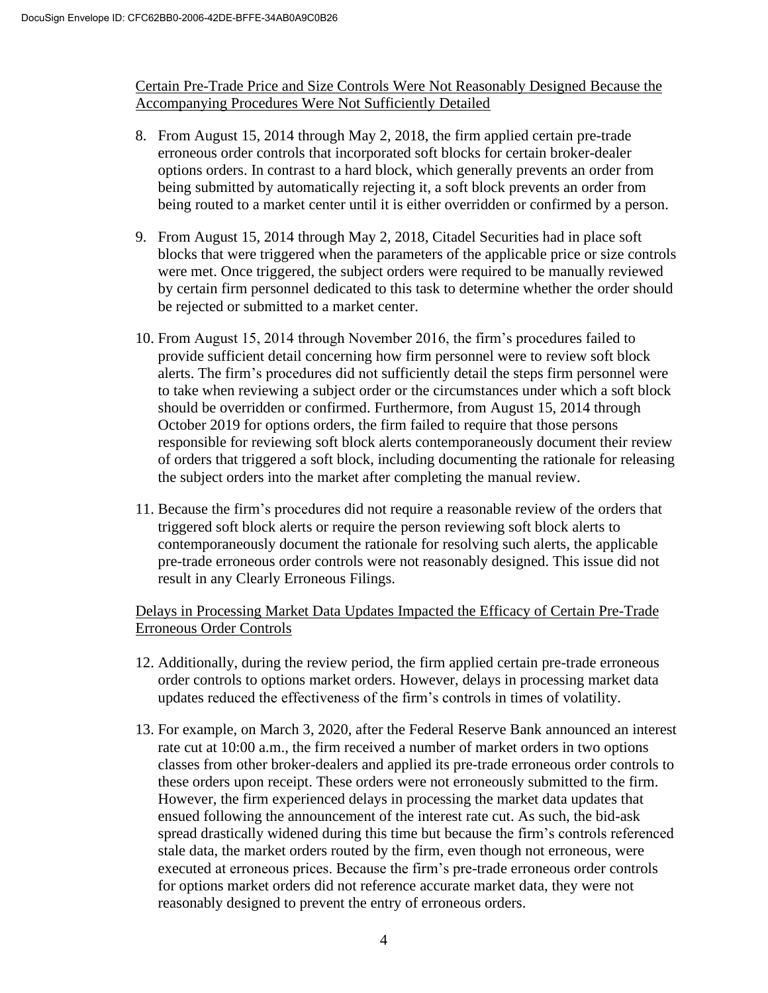Certain Pre-Trade Price and Size Controls Were Not Reasonably Designed Because the Accompanying Procedures Were Not Sufficiently Detailed

- 8. From August 15, 2014 through May 2, 2018, the firm applied certain pre-trade erroneous order controls that incorporated soft blocks for certain broker-dealer options orders. In contrast to a hard block, which generally prevents an order from being submitted by automatically rejecting it, a soft block prevents an order from being routed to a market center until it is either overridden or confirmed by a person.
- 9. From August 15, 2014 through May 2, 2018, Citadel Securities had in place soft blocks that were triggered when the parameters of the applicable price or size controls were met. Once triggered, the subject orders were required to be manually reviewed by certain firm personnel dedicated to this task to determine whether the order should be rejected or submitted to a market center.
- 10. From August 15, 2014 through November 2016, the firm's procedures failed to provide sufficient detail concerning how firm personnel were to review soft block alerts. The firm's procedures did not sufficiently detail the steps firm personnel were to take when reviewing a subject order or the circumstances under which a soft block should be overridden or confirmed. Furthermore, from August 15, 2014 through October 2019 for options orders, the firm failed to require that those persons responsible for reviewing soft block alerts contemporaneously document their review of orders that triggered a soft block, including documenting the rationale for releasing the subject orders into the market after completing the manual review.
- 11. Because the firm's procedures did not require a reasonable review of the orders that triggered soft block alerts or require the person reviewing soft block alerts to contemporaneously document the rationale for resolving such alerts, the applicable pre-trade erroneous order controls were not reasonably designed. This issue did not result in any Clearly Erroneous Filings.

# Delays in Processing Market Data Updates Impacted the Efficacy of Certain Pre-Trade Erroneous Order Controls

- 12. Additionally, during the review period, the firm applied certain pre-trade erroneous order controls to options market orders. However, delays in processing market data updates reduced the effectiveness of the firm's controls in times of volatility.
- 13. For example, on March 3, 2020, after the Federal Reserve Bank announced an interest rate cut at 10:00 a.m., the firm received a number of market orders in two options classes from other broker-dealers and applied its pre-trade erroneous order controls to these orders upon receipt. These orders were not erroneously submitted to the firm. However, the firm experienced delays in processing the market data updates that ensued following the announcement of the interest rate cut. As such, the bid-ask spread drastically widened during this time but because the firm's controls referenced stale data, the market orders routed by the firm, even though not erroneous, were executed at erroneous prices. Because the firm's pre-trade erroneous order controls for options market orders did not reference accurate market data, they were not reasonably designed to prevent the entry of erroneous orders.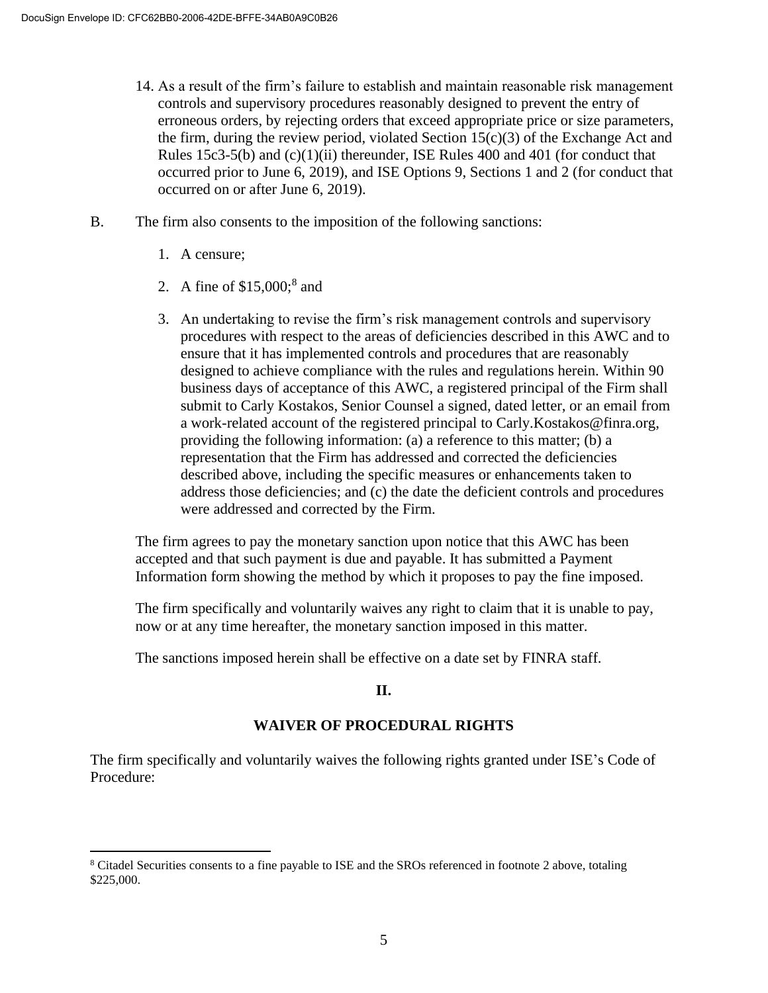- 14. As a result of the firm's failure to establish and maintain reasonable risk management controls and supervisory procedures reasonably designed to prevent the entry of erroneous orders, by rejecting orders that exceed appropriate price or size parameters, the firm, during the review period, violated Section 15(c)(3) of the Exchange Act and Rules 15c3-5(b) and (c)(1)(ii) thereunder, ISE Rules 400 and 401 (for conduct that occurred prior to June 6, 2019), and ISE Options 9, Sections 1 and 2 (for conduct that occurred on or after June 6, 2019).
- B. The firm also consents to the imposition of the following sanctions:
	- 1. A censure;
	- 2. A fine of  $$15,000$ ;<sup>8</sup> and
	- 3. An undertaking to revise the firm's risk management controls and supervisory procedures with respect to the areas of deficiencies described in this AWC and to ensure that it has implemented controls and procedures that are reasonably designed to achieve compliance with the rules and regulations herein. Within 90 business days of acceptance of this AWC, a registered principal of the Firm shall submit to Carly Kostakos, Senior Counsel a signed, dated letter, or an email from a work-related account of the registered principal to Carly.Kostakos@finra.org, providing the following information: (a) a reference to this matter; (b) a representation that the Firm has addressed and corrected the deficiencies described above, including the specific measures or enhancements taken to address those deficiencies; and (c) the date the deficient controls and procedures were addressed and corrected by the Firm.

The firm agrees to pay the monetary sanction upon notice that this AWC has been accepted and that such payment is due and payable. It has submitted a Payment Information form showing the method by which it proposes to pay the fine imposed.

The firm specifically and voluntarily waives any right to claim that it is unable to pay, now or at any time hereafter, the monetary sanction imposed in this matter.

The sanctions imposed herein shall be effective on a date set by FINRA staff.

# **II.**

# **WAIVER OF PROCEDURAL RIGHTS**

The firm specifically and voluntarily waives the following rights granted under ISE's Code of Procedure:

<sup>8</sup> Citadel Securities consents to a fine payable to ISE and the SROs referenced in footnote 2 above, totaling \$225,000.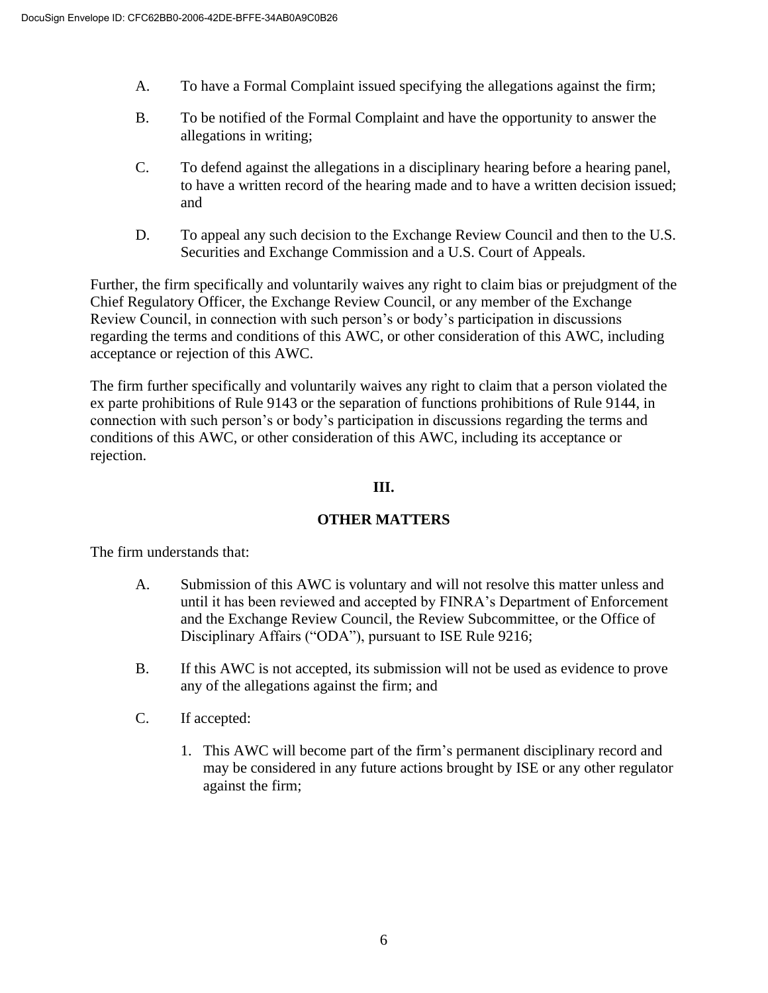- A. To have a Formal Complaint issued specifying the allegations against the firm;
- B. To be notified of the Formal Complaint and have the opportunity to answer the allegations in writing;
- C. To defend against the allegations in a disciplinary hearing before a hearing panel, to have a written record of the hearing made and to have a written decision issued; and
- D. To appeal any such decision to the Exchange Review Council and then to the U.S. Securities and Exchange Commission and a U.S. Court of Appeals.

Further, the firm specifically and voluntarily waives any right to claim bias or prejudgment of the Chief Regulatory Officer, the Exchange Review Council, or any member of the Exchange Review Council, in connection with such person's or body's participation in discussions regarding the terms and conditions of this AWC, or other consideration of this AWC, including acceptance or rejection of this AWC.

The firm further specifically and voluntarily waives any right to claim that a person violated the ex parte prohibitions of Rule 9143 or the separation of functions prohibitions of Rule 9144, in connection with such person's or body's participation in discussions regarding the terms and conditions of this AWC, or other consideration of this AWC, including its acceptance or rejection.

### **III.**

# **OTHER MATTERS**

The firm understands that:

- A. Submission of this AWC is voluntary and will not resolve this matter unless and until it has been reviewed and accepted by FINRA's Department of Enforcement and the Exchange Review Council, the Review Subcommittee, or the Office of Disciplinary Affairs ("ODA"), pursuant to ISE Rule 9216;
- B. If this AWC is not accepted, its submission will not be used as evidence to prove any of the allegations against the firm; and
- C. If accepted:
	- 1. This AWC will become part of the firm's permanent disciplinary record and may be considered in any future actions brought by ISE or any other regulator against the firm;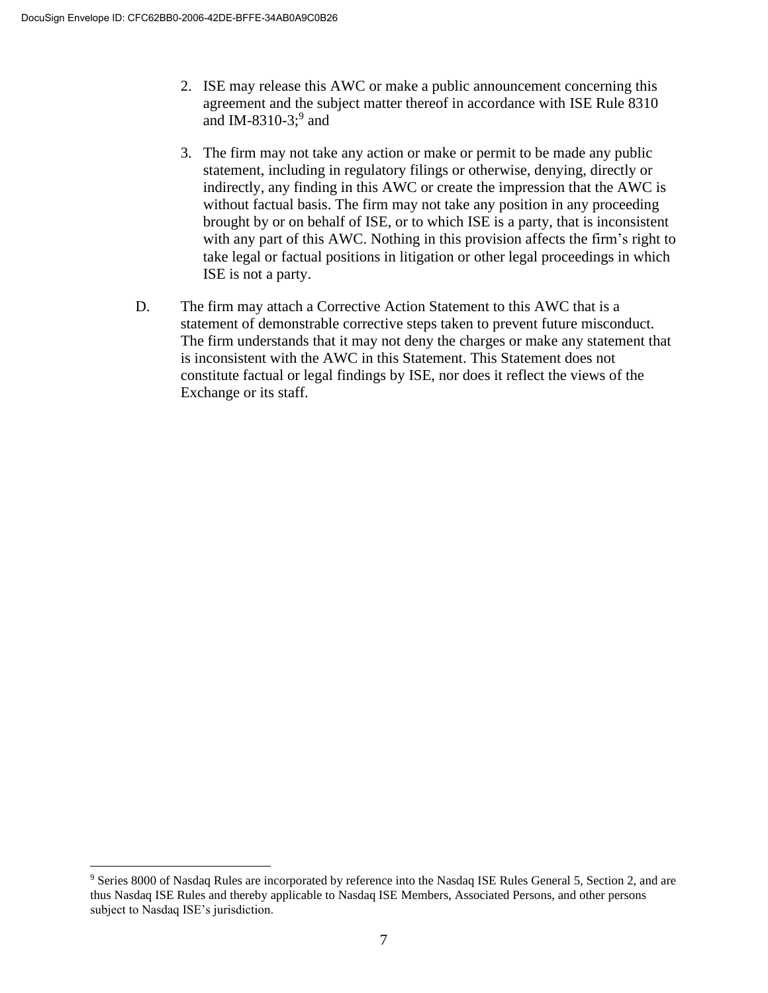- 2. ISE may release this AWC or make a public announcement concerning this agreement and the subject matter thereof in accordance with ISE Rule 8310 and IM-8310-3; $9$  and
- 3. The firm may not take any action or make or permit to be made any public statement, including in regulatory filings or otherwise, denying, directly or indirectly, any finding in this AWC or create the impression that the AWC is without factual basis. The firm may not take any position in any proceeding brought by or on behalf of ISE, or to which ISE is a party, that is inconsistent with any part of this AWC. Nothing in this provision affects the firm's right to take legal or factual positions in litigation or other legal proceedings in which ISE is not a party.
- D. The firm may attach a Corrective Action Statement to this AWC that is a statement of demonstrable corrective steps taken to prevent future misconduct. The firm understands that it may not deny the charges or make any statement that is inconsistent with the AWC in this Statement. This Statement does not constitute factual or legal findings by ISE, nor does it reflect the views of the Exchange or its staff.

<sup>9</sup> Series 8000 of Nasdaq Rules are incorporated by reference into the Nasdaq ISE Rules General 5, Section 2, and are thus Nasdaq ISE Rules and thereby applicable to Nasdaq ISE Members, Associated Persons, and other persons subject to Nasdaq ISE's jurisdiction.